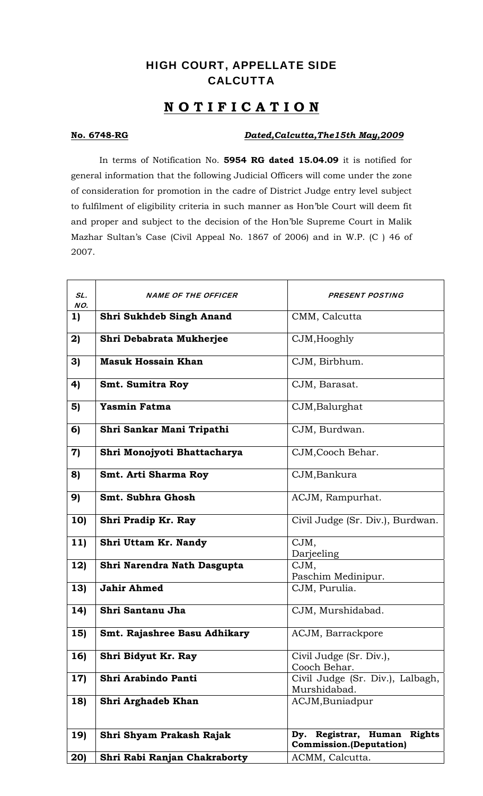## HIGH COURT, APPELLATE SIDE **CALCUTTA**

## **N O T I F I C A T I O N**

## **No. 6748-RG** *Dated,Calcutta,The15th May,2009*

In terms of Notification No. **5954 RG dated 15.04.09** it is notified for general information that the following Judicial Officers will come under the zone of consideration for promotion in the cadre of District Judge entry level subject to fulfilment of eligibility criteria in such manner as Hon'ble Court will deem fit and proper and subject to the decision of the Hon'ble Supreme Court in Malik Mazhar Sultan's Case (Civil Appeal No. 1867 of 2006) and in W.P. (C ) 46 of 2007.

| SL.<br>NO.       | <b>NAME OF THE OFFICER</b>      | <b>PRESENT POSTING</b>                           |
|------------------|---------------------------------|--------------------------------------------------|
| 1)               | <b>Shri Sukhdeb Singh Anand</b> | CMM, Calcutta                                    |
| 2)               | Shri Debabrata Mukherjee        | CJM, Hooghly                                     |
| 3)               | <b>Masuk Hossain Khan</b>       | CJM, Birbhum.                                    |
| 4)               | <b>Smt. Sumitra Roy</b>         | CJM, Barasat.                                    |
| 5)               | <b>Yasmin Fatma</b>             | CJM, Balurghat                                   |
| 6)               | Shri Sankar Mani Tripathi       | CJM, Burdwan.                                    |
| $\boldsymbol{7}$ | Shri Monojyoti Bhattacharya     | CJM, Cooch Behar.                                |
| 8)               | Smt. Arti Sharma Roy            | CJM, Bankura                                     |
| 9)               | Smt. Subhra Ghosh               | ACJM, Rampurhat.                                 |
| 10)              | Shri Pradip Kr. Ray             | Civil Judge (Sr. Div.), Burdwan.                 |
| 11)              | Shri Uttam Kr. Nandy            | CJM,<br>Darjeeling                               |
| 12)              | Shri Narendra Nath Dasgupta     | CJM,<br>Paschim Medinipur.                       |
| 13)              | <b>Jahir Ahmed</b>              | CJM, Purulia.                                    |
| 14)              | Shri Santanu Jha                | CJM, Murshidabad.                                |
| 15)              | Smt. Rajashree Basu Adhikary    | ACJM, Barrackpore                                |
| 16               | Shri Bidyut Kr. Ray             | Civil Judge (Sr. Div.),<br>Cooch Behar.          |
| 17)              | Shri Arabindo Panti             | Civil Judge (Sr. Div.), Lalbagh,<br>Murshidabad. |
| <b>18)</b>       | Shri Arghadeb Khan              | ACJM, Buniadpur                                  |
| 19)              | Shri Shyam Prakash Rajak        | Dy. Registrar, Human Rights                      |
|                  |                                 | <b>Commission.</b> (Deputation)                  |
| 20)              | Shri Rabi Ranjan Chakraborty    | ACMM, Calcutta.                                  |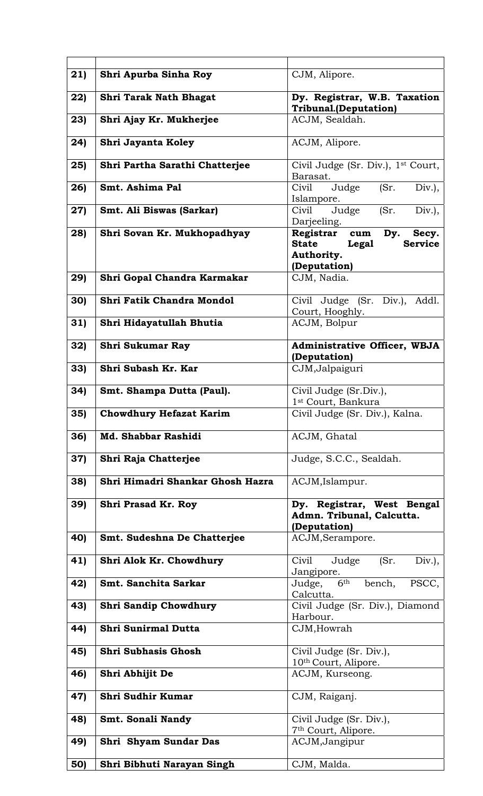| 21) | Shri Apurba Sinha Roy            | CJM, Alipore.                                                         |
|-----|----------------------------------|-----------------------------------------------------------------------|
| 22) | <b>Shri Tarak Nath Bhagat</b>    | Dy. Registrar, W.B. Taxation<br><b>Tribunal.(Deputation)</b>          |
| 23) | Shri Ajay Kr. Mukherjee          | ACJM, Sealdah.                                                        |
| 24) | Shri Jayanta Koley               | ACJM, Alipore.                                                        |
| 25) | Shri Partha Sarathi Chatterjee   | Civil Judge (Sr. Div.), 1 <sup>st</sup> Court,                        |
|     | Smt. Ashima Pal                  | Barasat.<br>Civil                                                     |
| 26) |                                  | Judge<br>(Sr.<br>$Div.$ ),<br>Islampore.                              |
| 27) | Smt. Ali Biswas (Sarkar)         | (Sr.<br>Civil<br>Judge<br>$Div.$ ),                                   |
| 28) | Shri Sovan Kr. Mukhopadhyay      | Darjeeling.<br>Registrar cum Dy.<br>Secy.                             |
|     |                                  | <b>State</b><br>Legal<br><b>Service</b><br>Authority.<br>(Deputation) |
| 29) | Shri Gopal Chandra Karmakar      | CJM, Nadia.                                                           |
| 30) | Shri Fatik Chandra Mondol        | Civil Judge (Sr. Div.), Addl.<br>Court, Hooghly.                      |
| 31  | Shri Hidayatullah Bhutia         | ACJM, Bolpur                                                          |
| 32) | <b>Shri Sukumar Ray</b>          | Administrative Officer, WBJA                                          |
| 33) | Shri Subash Kr. Kar              | (Deputation)<br>CJM, Jalpaiguri                                       |
|     |                                  |                                                                       |
| 34) | Smt. Shampa Dutta (Paul).        | Civil Judge (Sr.Div.),                                                |
| 35) | <b>Chowdhury Hefazat Karim</b>   | 1 <sup>st</sup> Court, Bankura<br>Civil Judge (Sr. Div.), Kalna.      |
| 36  | Md. Shabbar Rashidi              | ACJM, Ghatal                                                          |
| 37) | Shri Raja Chatterjee             | Judge, S.C.C., Sealdah.                                               |
| 38) | Shri Himadri Shankar Ghosh Hazra | ACJM, Islampur.                                                       |
| 39) | <b>Shri Prasad Kr. Roy</b>       | Dy. Registrar, West Bengal                                            |
|     |                                  | Admn. Tribunal, Calcutta.<br>(Deputation)                             |
| 40) | Smt. Sudeshna De Chatterjee      | ACJM, Serampore.                                                      |
| 41) | Shri Alok Kr. Chowdhury          | Civil<br>Judge<br>(Sr.<br>$Div.$ ),<br>Jangipore.                     |
| 42) | Smt. Sanchita Sarkar             | Judge, 6th<br>bench,<br>PSCC,                                         |
| 43) | <b>Shri Sandip Chowdhury</b>     | Calcutta.<br>Civil Judge (Sr. Div.), Diamond                          |
|     |                                  | Harbour.                                                              |
| 44) | <b>Shri Sunirmal Dutta</b>       | CJM, Howrah                                                           |
| 45) | <b>Shri Subhasis Ghosh</b>       | Civil Judge (Sr. Div.),                                               |
|     |                                  | 10th Court, Alipore.                                                  |
| 46) | Shri Abhijit De                  | ACJM, Kurseong.                                                       |
| 47) | Shri Sudhir Kumar                | CJM, Raiganj.                                                         |
| 48) | Smt. Sonali Nandy                | Civil Judge (Sr. Div.),                                               |
| 49) | Shri Shyam Sundar Das            | 7 <sup>th</sup> Court, Alipore.<br>ACJM, Jangipur                     |
| 50) | Shri Bibhuti Narayan Singh       | CJM, Malda.                                                           |
|     |                                  |                                                                       |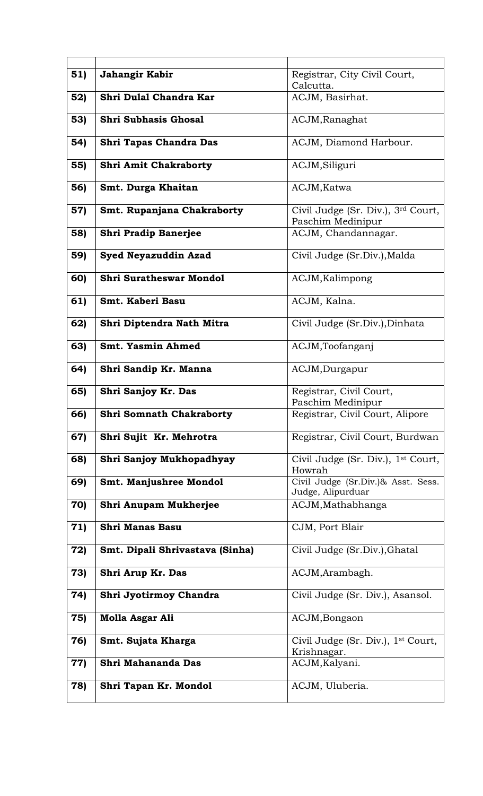| 51) | Jahangir Kabir                  | Registrar, City Civil Court,<br>Calcutta.                           |
|-----|---------------------------------|---------------------------------------------------------------------|
| 52) | Shri Dulal Chandra Kar          | ACJM, Basirhat.                                                     |
| 53) | <b>Shri Subhasis Ghosal</b>     | ACJM, Ranaghat                                                      |
| 54) | <b>Shri Tapas Chandra Das</b>   | ACJM, Diamond Harbour.                                              |
| 55) | <b>Shri Amit Chakraborty</b>    | ACJM, Siliguri                                                      |
| 56) | Smt. Durga Khaitan              | ACJM, Katwa                                                         |
| 57) | Smt. Rupanjana Chakraborty      | Civil Judge (Sr. Div.), 3 <sup>rd</sup> Court,<br>Paschim Medinipur |
| 58) | <b>Shri Pradip Banerjee</b>     | ACJM, Chandannagar.                                                 |
| 59) | <b>Syed Neyazuddin Azad</b>     | Civil Judge (Sr.Div.), Malda                                        |
| 60) | <b>Shri Suratheswar Mondol</b>  | ACJM, Kalimpong                                                     |
| 61) | Smt. Kaberi Basu                | ACJM, Kalna.                                                        |
| 62) | Shri Diptendra Nath Mitra       | Civil Judge (Sr.Div.), Dinhata                                      |
| 63) | Smt. Yasmin Ahmed               | ACJM,Toofanganj                                                     |
| 64) | Shri Sandip Kr. Manna           | ACJM, Durgapur                                                      |
| 65) | Shri Sanjoy Kr. Das             | Registrar, Civil Court,<br>Paschim Medinipur                        |
| 66) | <b>Shri Somnath Chakraborty</b> | Registrar, Civil Court, Alipore                                     |
| 67) | Shri Sujit Kr. Mehrotra         | Registrar, Civil Court, Burdwan                                     |
| 68) | Shri Sanjoy Mukhopadhyay        | Civil Judge (Sr. Div.), 1 <sup>st</sup> Court,<br>Howrah            |
| 69) | Smt. Manjushree Mondol          | Civil Judge (Sr.Div.)& Asst. Sess.<br>Judge, Alipurduar             |
| 70) | Shri Anupam Mukherjee           | ACJM, Mathabhanga                                                   |
| 71) | <b>Shri Manas Basu</b>          | CJM, Port Blair                                                     |
| 72) | Smt. Dipali Shrivastava (Sinha) | Civil Judge (Sr.Div.), Ghatal                                       |
| 73) | Shri Arup Kr. Das               | ACJM, Arambagh.                                                     |
| 74) | Shri Jyotirmoy Chandra          | Civil Judge (Sr. Div.), Asansol.                                    |
| 75) | <b>Molla Asgar Ali</b>          | ACJM, Bongaon                                                       |
| 76) | Smt. Sujata Kharga              | Civil Judge (Sr. Div.), 1 <sup>st</sup> Court,<br>Krishnagar.       |
| 77) | Shri Mahananda Das              | ACJM, Kalyani.                                                      |
| 78) | Shri Tapan Kr. Mondol           | ACJM, Uluberia.                                                     |